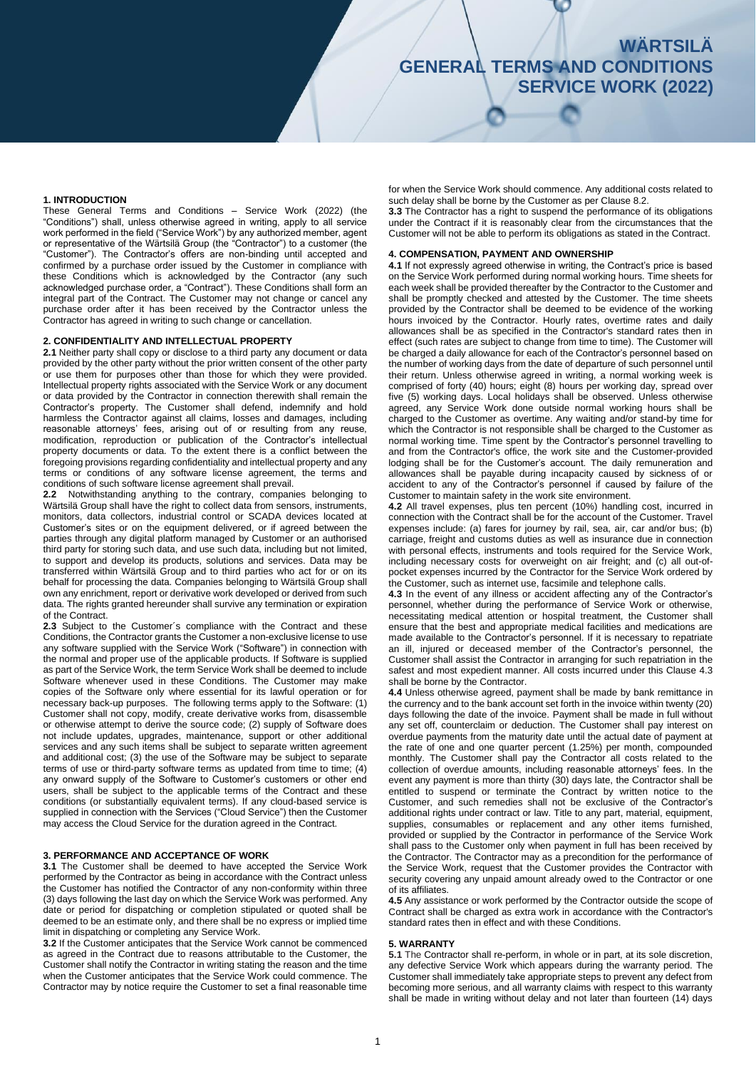# **WÄRTSILÄ GENERAL TERMS AND CONDITIONS SERVICE WORK (2022)**

## **1. INTRODUCTION**

These General Terms and Conditions – Service Work (2022) (the "Conditions") shall, unless otherwise agreed in writing, apply to all service work performed in the field ("Service Work") by any authorized member, agent or representative of the Wärtsilä Group (the "Contractor") to a customer (the "Customer"). The Contractor's offers are non-binding until accepted and confirmed by a purchase order issued by the Customer in compliance with these Conditions which is acknowledged by the Contractor (any such acknowledged purchase order, a "Contract"). These Conditions shall form an integral part of the Contract. The Customer may not change or cancel any purchase order after it has been received by the Contractor unless the Contractor has agreed in writing to such change or cancellation.

### **2. CONFIDENTIALITY AND INTELLECTUAL PROPERTY**

**2.1** Neither party shall copy or disclose to a third party any document or data provided by the other party without the prior written consent of the other party or use them for purposes other than those for which they were provided. Intellectual property rights associated with the Service Work or any document or data provided by the Contractor in connection therewith shall remain the Contractor's property. The Customer shall defend, indemnify and hold harmless the Contractor against all claims, losses and damages, including reasonable attorneys' fees, arising out of or resulting from any reuse, modification, reproduction or publication of the Contractor's intellectual property documents or data. To the extent there is a conflict between the foregoing provisions regarding confidentiality and intellectual property and any terms or conditions of any software license agreement, the terms and conditions of such software license agreement shall prevail.

**2.2** Notwithstanding anything to the contrary, companies belonging to Wärtsilä Group shall have the right to collect data from sensors, instruments, monitors, data collectors, industrial control or SCADA devices located at Customer's sites or on the equipment delivered, or if agreed between the parties through any digital platform managed by Customer or an authorised third party for storing such data, and use such data, including but not limited, to support and develop its products, solutions and services. Data may be transferred within Wärtsilä Group and to third parties who act for or on its behalf for processing the data. Companies belonging to Wärtsilä Group shall own any enrichment, report or derivative work developed or derived from such data. The rights granted hereunder shall survive any termination or expiration of the Contract.

**2.3** Subject to the Customer´s compliance with the Contract and these Conditions, the Contractor grants the Customer a non-exclusive license to use any software supplied with the Service Work ("Software") in connection with the normal and proper use of the applicable products. If Software is supplied as part of the Service Work, the term Service Work shall be deemed to include Software whenever used in these Conditions. The Customer may make copies of the Software only where essential for its lawful operation or for necessary back-up purposes. The following terms apply to the Software: (1) Customer shall not copy, modify, create derivative works from, disassemble or otherwise attempt to derive the source code; (2) supply of Software does not include updates, upgrades, maintenance, support or other additional services and any such items shall be subject to separate written agreement and additional cost; (3) the use of the Software may be subject to separate terms of use or third-party software terms as updated from time to time; (4) any onward supply of the Software to Customer's customers or other end users, shall be subject to the applicable terms of the Contract and these conditions (or substantially equivalent terms). If any cloud-based service is supplied in connection with the Services ("Cloud Service") then the Customer may access the Cloud Service for the duration agreed in the Contract.

## **3. PERFORMANCE AND ACCEPTANCE OF WORK**

**3.1** The Customer shall be deemed to have accepted the Service Work performed by the Contractor as being in accordance with the Contract unless the Customer has notified the Contractor of any non-conformity within three (3) days following the last day on which the Service Work was performed. Any date or period for dispatching or completion stipulated or quoted shall be deemed to be an estimate only, and there shall be no express or implied time limit in dispatching or completing any Service Work.

**3.2** If the Customer anticipates that the Service Work cannot be commenced as agreed in the Contract due to reasons attributable to the Customer, the Customer shall notify the Contractor in writing stating the reason and the time when the Customer anticipates that the Service Work could commence. The Contractor may by notice require the Customer to set a final reasonable time for when the Service Work should commence. Any additional costs related to such delay shall be borne by the Customer as per Clause 8.2

**3.3** The Contractor has a right to suspend the performance of its obligations under the Contract if it is reasonably clear from the circumstances that the Customer will not be able to perform its obligations as stated in the Contract.

#### **4. COMPENSATION, PAYMENT AND OWNERSHIP**

**4.1** If not expressly agreed otherwise in writing, the Contract's price is based on the Service Work performed during normal working hours. Time sheets for each week shall be provided thereafter by the Contractor to the Customer and shall be promptly checked and attested by the Customer. The time sheets provided by the Contractor shall be deemed to be evidence of the working hours invoiced by the Contractor. Hourly rates, overtime rates and daily allowances shall be as specified in the Contractor's standard rates then in effect (such rates are subject to change from time to time). The Customer will be charged a daily allowance for each of the Contractor's personnel based on the number of working days from the date of departure of such personnel until their return. Unless otherwise agreed in writing, a normal working week is comprised of forty (40) hours; eight (8) hours per working day, spread over five (5) working days. Local holidays shall be observed. Unless otherwise agreed, any Service Work done outside normal working hours shall be charged to the Customer as overtime. Any waiting and/or stand-by time for which the Contractor is not responsible shall be charged to the Customer as normal working time. Time spent by the Contractor's personnel travelling to and from the Contractor's office, the work site and the Customer-provided lodging shall be for the Customer's account. The daily remuneration and allowances shall be payable during incapacity caused by sickness of or accident to any of the Contractor's personnel if caused by failure of the Customer to maintain safety in the work site environment.

**4.2** All travel expenses, plus ten percent (10%) handling cost, incurred in connection with the Contract shall be for the account of the Customer. Travel expenses include: (a) fares for journey by rail, sea, air, car and/or bus; (b) carriage, freight and customs duties as well as insurance due in connection with personal effects, instruments and tools required for the Service Work, including necessary costs for overweight on air freight; and (c) all out-ofpocket expenses incurred by the Contractor for the Service Work ordered by the Customer, such as internet use, facsimile and telephone calls.

**4.3** In the event of any illness or accident affecting any of the Contractor's personnel, whether during the performance of Service Work or otherwise, necessitating medical attention or hospital treatment, the Customer shall ensure that the best and appropriate medical facilities and medications are made available to the Contractor's personnel. If it is necessary to repatriate an ill, injured or deceased member of the Contractor's personnel, the Customer shall assist the Contractor in arranging for such repatriation in the safest and most expedient manner. All costs incurred under this Clause 4.3 shall be borne by the Contractor.

**4.4** Unless otherwise agreed, payment shall be made by bank remittance in the currency and to the bank account set forth in the invoice within twenty (20) days following the date of the invoice. Payment shall be made in full without any set off, counterclaim or deduction. The Customer shall pay interest on overdue payments from the maturity date until the actual date of payment at the rate of one and one quarter percent (1.25%) per month, compounded monthly. The Customer shall pay the Contractor all costs related to the collection of overdue amounts, including reasonable attorneys' fees. In the event any payment is more than thirty (30) days late, the Contractor shall be entitled to suspend or terminate the Contract by written notice to the Customer, and such remedies shall not be exclusive of the Contractor's additional rights under contract or law. Title to any part, material, equipment, supplies, consumables or replacement and any other items furnished, provided or supplied by the Contractor in performance of the Service Work shall pass to the Customer only when payment in full has been received by the Contractor. The Contractor may as a precondition for the performance of the Service Work, request that the Customer provides the Contractor with security covering any unpaid amount already owed to the Contractor or one of its affiliates.

**4.5** Any assistance or work performed by the Contractor outside the scope of Contract shall be charged as extra work in accordance with the Contractor's standard rates then in effect and with these Conditions.

#### **5. WARRANTY**

**5.1** The Contractor shall re-perform, in whole or in part, at its sole discretion, any defective Service Work which appears during the warranty period. The Customer shall immediately take appropriate steps to prevent any defect from becoming more serious, and all warranty claims with respect to this warranty shall be made in writing without delay and not later than fourteen (14) days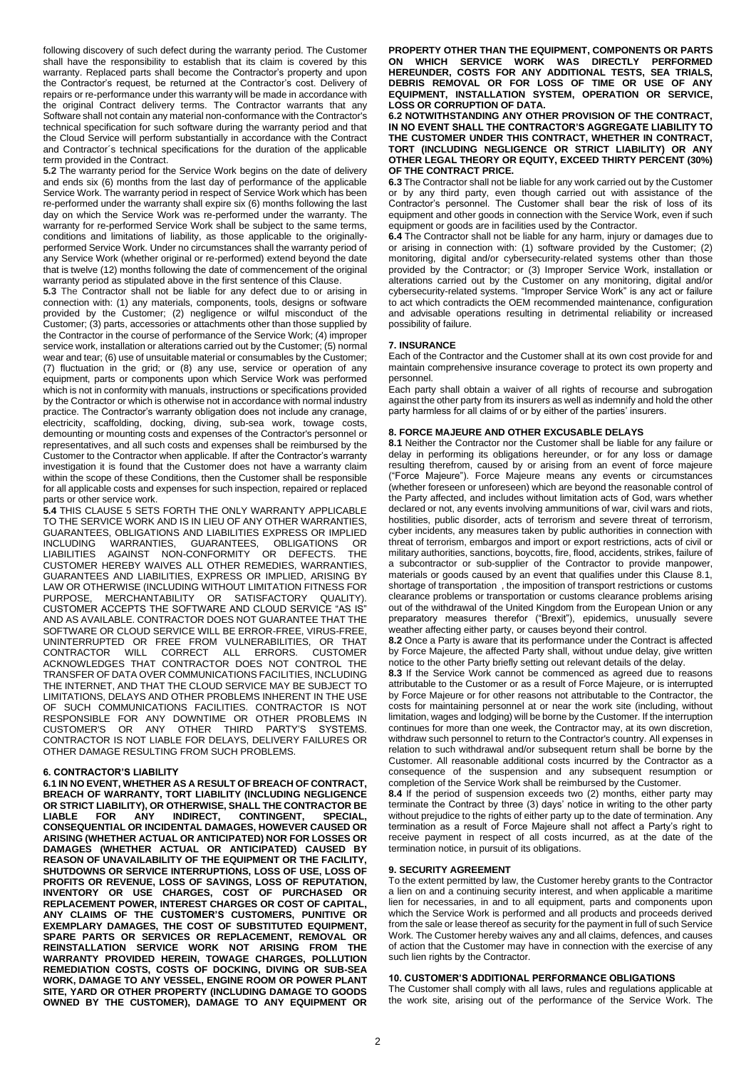following discovery of such defect during the warranty period. The Customer shall have the responsibility to establish that its claim is covered by this warranty. Replaced parts shall become the Contractor's property and upon the Contractor's request, be returned at the Contractor's cost. Delivery of repairs or re-performance under this warranty will be made in accordance with the original Contract delivery terms. The Contractor warrants that any Software shall not contain any material non-conformance with the Contractor's technical specification for such software during the warranty period and that the Cloud Service will perform substantially in accordance with the Contract and Contractor´s technical specifications for the duration of the applicable term provided in the Contract.

**5.2** The warranty period for the Service Work begins on the date of delivery and ends six (6) months from the last day of performance of the applicable Service Work. The warranty period in respect of Service Work which has been re-performed under the warranty shall expire six (6) months following the last day on which the Service Work was re-performed under the warranty. The warranty for re-performed Service Work shall be subject to the same terms, conditions and limitations of liability, as those applicable to the originallyperformed Service Work. Under no circumstances shall the warranty period of any Service Work (whether original or re-performed) extend beyond the date that is twelve (12) months following the date of commencement of the original warranty period as stipulated above in the first sentence of this Clause.

**5.3** The Contractor shall not be liable for any defect due to or arising in connection with: (1) any materials, components, tools, designs or software provided by the Customer; (2) negligence or wilful misconduct of the Customer; (3) parts, accessories or attachments other than those supplied by the Contractor in the course of performance of the Service Work; (4) improper service work, installation or alterations carried out by the Customer; (5) normal wear and tear; (6) use of unsuitable material or consumables by the Customer; (7) fluctuation in the grid; or (8) any use, service or operation of any equipment, parts or components upon which Service Work was performed which is not in conformity with manuals, instructions or specifications provided by the Contractor or which is otherwise not in accordance with normal industry practice. The Contractor's warranty obligation does not include any cranage, electricity, scaffolding, docking, diving, sub-sea work, towage costs, demounting or mounting costs and expenses of the Contractor's personnel or representatives, and all such costs and expenses shall be reimbursed by the Customer to the Contractor when applicable. If after the Contractor's warranty investigation it is found that the Customer does not have a warranty claim within the scope of these Conditions, then the Customer shall be responsible for all applicable costs and expenses for such inspection, repaired or replaced parts or other service work.

**5.4** THIS CLAUSE 5 SETS FORTH THE ONLY WARRANTY APPLICABLE TO THE SERVICE WORK AND IS IN LIEU OF ANY OTHER WARRANTIES, GUARANTEES, OBLIGATIONS AND LIABILITIES EXPRESS OR IMPLIED INCLUDING WARRANTIES, GUARANTEES, OBLIGATIONS OR LIABILITIES AGAINST NON-CONFORMITY OR DEFECTS. THE CUSTOMER HEREBY WAIVES ALL OTHER REMEDIES, WARRANTIES, GUARANTEES AND LIABILITIES, EXPRESS OR IMPLIED, ARISING BY LAW OR OTHERWISE (INCLUDING WITHOUT LIMITATION FITNESS FOR PURPOSE, MERCHANTABILITY OR SATISFACTORY QUALITY). CUSTOMER ACCEPTS THE SOFTWARE AND CLOUD SERVICE "AS IS" AND AS AVAILABLE. CONTRACTOR DOES NOT GUARANTEE THAT THE SOFTWARE OR CLOUD SERVICE WILL BE ERROR-FREE, VIRUS-FREE, UNINTERRUPTED OR FREE FROM VULNERABILITIES, OR THAT CONTRACTOR WILL CORRECT ALL ERRORS. ACKNOWLEDGES THAT CONTRACTOR DOES NOT CONTROL THE TRANSFER OF DATA OVER COMMUNICATIONS FACILITIES, INCLUDING THE INTERNET, AND THAT THE CLOUD SERVICE MAY BE SUBJECT TO LIMITATIONS, DELAYS AND OTHER PROBLEMS INHERENT IN THE USE OF SUCH COMMUNICATIONS FACILITIES. CONTRACTOR IS NOT RESPONSIBLE FOR ANY DOWNTIME OR OTHER PROBLEMS IN CUSTOMER'S OR ANY OTHER THIRD PARTY'S SYSTEMS. CONTRACTOR IS NOT LIABLE FOR DELAYS, DELIVERY FAILURES OR OTHER DAMAGE RESULTING FROM SUCH PROBLEMS.

### **6. CONTRACTOR'S LIABILITY**

**6.1 IN NO EVENT, WHETHER AS A RESULT OF BREACH OF CONTRACT, BREACH OF WARRANTY, TORT LIABILITY (INCLUDING NEGLIGENCE OR STRICT LIABILITY), OR OTHERWISE, SHALL THE CONTRACTOR BE LIABLE FOR ANY INDIRECT, CONTINGENT, SPECIAL, CONSEQUENTIAL OR INCIDENTAL DAMAGES, HOWEVER CAUSED OR ARISING (WHETHER ACTUAL OR ANTICIPATED) NOR FOR LOSSES OR DAMAGES (WHETHER ACTUAL OR ANTICIPATED) CAUSED BY REASON OF UNAVAILABILITY OF THE EQUIPMENT OR THE FACILITY, SHUTDOWNS OR SERVICE INTERRUPTIONS, LOSS OF USE, LOSS OF PROFITS OR REVENUE, LOSS OF SAVINGS, LOSS OF REPUTATION, INVENTORY OR USE CHARGES, COST OF PURCHASED OR REPLACEMENT POWER, INTEREST CHARGES OR COST OF CAPITAL, ANY CLAIMS OF THE CUSTOMER'S CUSTOMERS, PUNITIVE OR EXEMPLARY DAMAGES, THE COST OF SUBSTITUTED EQUIPMENT, SPARE PARTS OR SERVICES OR REPLACEMENT, REMOVAL OR REINSTALLATION SERVICE WORK NOT ARISING FROM THE WARRANTY PROVIDED HEREIN, TOWAGE CHARGES, POLLUTION REMEDIATION COSTS, COSTS OF DOCKING, DIVING OR SUB-SEA WORK, DAMAGE TO ANY VESSEL, ENGINE ROOM OR POWER PLANT SITE, YARD OR OTHER PROPERTY (INCLUDING DAMAGE TO GOODS OWNED BY THE CUSTOMER), DAMAGE TO ANY EQUIPMENT OR** 

**PROPERTY OTHER THAN THE EQUIPMENT, COMPONENTS OR PARTS ON WHICH SERVICE WORK WAS DIRECTLY PERFORMED HEREUNDER, COSTS FOR ANY ADDITIONAL TESTS, SEA TRIALS, DEBRIS REMOVAL OR FOR LOSS OF TIME OR USE OF ANY EQUIPMENT, INSTALLATION SYSTEM, OPERATION OR SERVICE, LOSS OR CORRUPTION OF DATA.**

**6.2 NOTWITHSTANDING ANY OTHER PROVISION OF THE CONTRACT, IN NO EVENT SHALL THE CONTRACTOR'S AGGREGATE LIABILITY TO THE CUSTOMER UNDER THIS CONTRACT, WHETHER IN CONTRACT, TORT (INCLUDING NEGLIGENCE OR STRICT LIABILITY) OR ANY OTHER LEGAL THEORY OR EQUITY, EXCEED THIRTY PERCENT (30%) OF THE CONTRACT PRICE.**

**6.3** The Contractor shall not be liable for any work carried out by the Customer or by any third party, even though carried out with assistance of the Contractor's personnel. The Customer shall bear the risk of loss of its equipment and other goods in connection with the Service Work, even if such equipment or goods are in facilities used by the Contractor.

**6.4** The Contractor shall not be liable for any harm, injury or damages due to or arising in connection with: (1) software provided by the Customer; (2) monitoring, digital and/or cybersecurity-related systems other than those provided by the Contractor; or (3) Improper Service Work, installation or alterations carried out by the Customer on any monitoring, digital and/or cybersecurity-related systems. "Improper Service Work" is any act or failure to act which contradicts the OEM recommended maintenance, configuration and advisable operations resulting in detrimental reliability or increased possibility of failure.

# **7. INSURANCE**

Each of the Contractor and the Customer shall at its own cost provide for and maintain comprehensive insurance coverage to protect its own property and personnel.

Each party shall obtain a waiver of all rights of recourse and subrogation against the other party from its insurers as well as indemnify and hold the other party harmless for all claims of or by either of the parties' insurers.

# **8. FORCE MAJEURE AND OTHER EXCUSABLE DELAYS**

**8.1** Neither the Contractor nor the Customer shall be liable for any failure or delay in performing its obligations hereunder, or for any loss or damage resulting therefrom, caused by or arising from an event of force majeure ("Force Majeure"). Force Majeure means any events or circumstances (whether foreseen or unforeseen) which are beyond the reasonable control of the Party affected, and includes without limitation acts of God, wars whether declared or not, any events involving ammunitions of war, civil wars and riots, hostilities, public disorder, acts of terrorism and severe threat of terrorism, cyber incidents, any measures taken by public authorities in connection with threat of terrorism, embargos and import or export restrictions, acts of civil or military authorities, sanctions, boycotts, fire, flood, accidents, strikes, failure of a subcontractor or sub-supplier of the Contractor to provide manpower, materials or goods caused by an event that qualifies under this Clause 8.1, shortage of transportation , the imposition of transport restrictions or customs clearance problems or transportation or customs clearance problems arising out of the withdrawal of the United Kingdom from the European Union or any preparatory measures therefor ("Brexit"), epidemics, unusually severe weather affecting either party, or causes beyond their control.

**8.2** Once a Party is aware that its performance under the Contract is affected by Force Majeure, the affected Party shall, without undue delay, give written notice to the other Party briefly setting out relevant details of the delay.

**8.3** If the Service Work cannot be commenced as agreed due to reasons attributable to the Customer or as a result of Force Majeure, or is interrupted by Force Majeure or for other reasons not attributable to the Contractor, the costs for maintaining personnel at or near the work site (including, without limitation, wages and lodging) will be borne by the Customer. If the interruption continues for more than one week, the Contractor may, at its own discretion, withdraw such personnel to return to the Contractor's country. All expenses in relation to such withdrawal and/or subsequent return shall be borne by the Customer. All reasonable additional costs incurred by the Contractor as a consequence of the suspension and any subsequent resumption or completion of the Service Work shall be reimbursed by the Customer.

**8.4** If the period of suspension exceeds two (2) months, either party may terminate the Contract by three (3) days' notice in writing to the other party without prejudice to the rights of either party up to the date of termination. Any termination as a result of Force Majeure shall not affect a Party's right to receive payment in respect of all costs incurred, as at the date of the termination notice, in pursuit of its obligations.

# **9. SECURITY AGREEMENT**

To the extent permitted by law, the Customer hereby grants to the Contractor a lien on and a continuing security interest, and when applicable a maritime lien for necessaries, in and to all equipment, parts and components upon which the Service Work is performed and all products and proceeds derived from the sale or lease thereof as security for the payment in full of such Service Work. The Customer hereby waives any and all claims, defences, and causes of action that the Customer may have in connection with the exercise of any such lien rights by the Contractor.

# **10. CUSTOMER'S ADDITIONAL PERFORMANCE OBLIGATIONS**

The Customer shall comply with all laws, rules and regulations applicable at the work site, arising out of the performance of the Service Work. The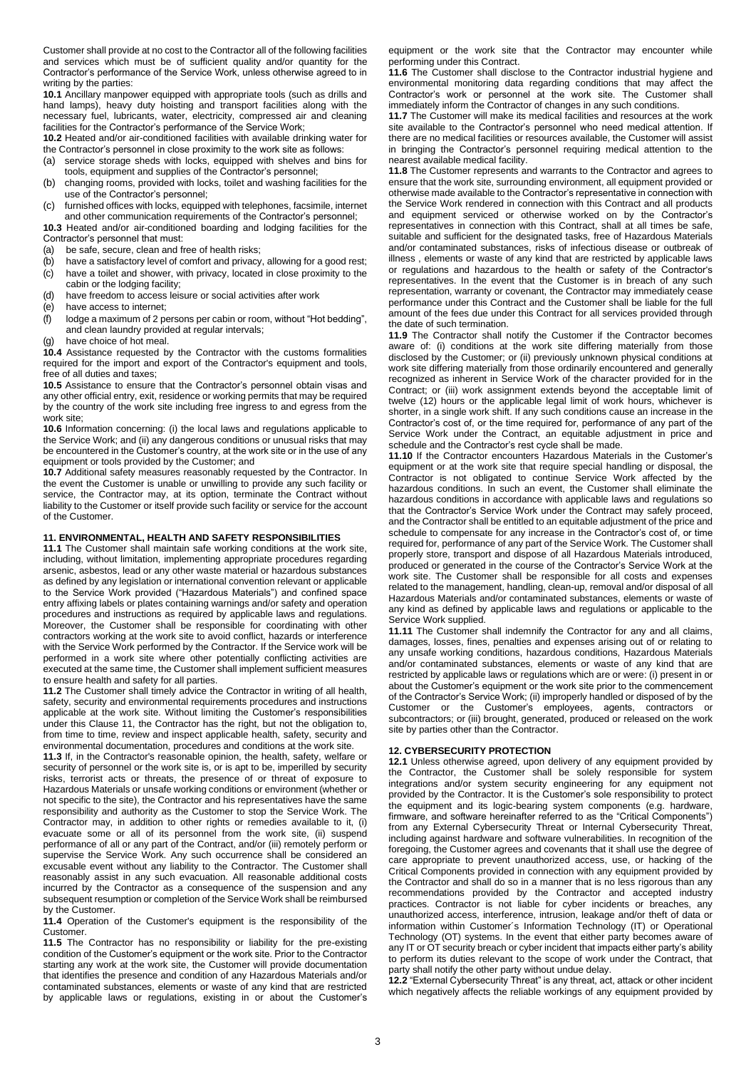Customer shall provide at no cost to the Contractor all of the following facilities and services which must be of sufficient quality and/or quantity for the Contractor's performance of the Service Work, unless otherwise agreed to in writing by the parties:

**10.1** Ancillary manpower equipped with appropriate tools (such as drills and hand lamps), heavy duty hoisting and transport facilities along with the necessary fuel, lubricants, water, electricity, compressed air and cleaning facilities for the Contractor's performance of the Service Work;

**10.2** Heated and/or air-conditioned facilities with available drinking water for the Contractor's personnel in close proximity to the work site as follows:

- (a) service storage sheds with locks, equipped with shelves and bins for tools, equipment and supplies of the Contractor's personnel;
- (b) changing rooms, provided with locks, toilet and washing facilities for the use of the Contractor's personnel;
- (c) furnished offices with locks, equipped with telephones, facsimile, internet and other communication requirements of the Contractor's personnel;

**10.3** Heated and/or air-conditioned boarding and lodging facilities for the Contractor's personnel that must:

- (a) be safe, secure, clean and free of health risks;<br>(b) baye a satisfactory level of comfort and privacy
- have a satisfactory level of comfort and privacy, allowing for a good rest;
- (c) have a toilet and shower, with privacy, located in close proximity to the cabin or the lodging facility;
- (d) have freedom to access leisure or social activities after work
- (e) have access to internet;
- (f) lodge a maximum of 2 persons per cabin or room, without "Hot bedding", and clean laundry provided at regular intervals;
- (g) have choice of hot meal.

**10.4** Assistance requested by the Contractor with the customs formalities required for the import and export of the Contractor's equipment and tools, free of all duties and taxes;

**10.5** Assistance to ensure that the Contractor's personnel obtain visas and any other official entry, exit, residence or working permits that may be required by the country of the work site including free ingress to and egress from the work site;

**10.6** Information concerning: (i) the local laws and regulations applicable to the Service Work; and (ii) any dangerous conditions or unusual risks that may be encountered in the Customer's country, at the work site or in the use of any equipment or tools provided by the Customer; and

**10.7** Additional safety measures reasonably requested by the Contractor. In the event the Customer is unable or unwilling to provide any such facility or service, the Contractor may, at its option, terminate the Contract without liability to the Customer or itself provide such facility or service for the account of the Customer.

## **11. ENVIRONMENTAL, HEALTH AND SAFETY RESPONSIBILITIES**

**11.1** The Customer shall maintain safe working conditions at the work site, including, without limitation, implementing appropriate procedures regarding arsenic, asbestos, lead or any other waste material or hazardous substances as defined by any legislation or international convention relevant or applicable to the Service Work provided ("Hazardous Materials") and confined space entry affixing labels or plates containing warnings and/or safety and operation procedures and instructions as required by applicable laws and regulations. Moreover, the Customer shall be responsible for coordinating with other contractors working at the work site to avoid conflict, hazards or interference with the Service Work performed by the Contractor. If the Service work will be performed in a work site where other potentially conflicting activities are executed at the same time, the Customer shall implement sufficient measures to ensure health and safety for all parties.

**11.2** The Customer shall timely advice the Contractor in writing of all health, safety, security and environmental requirements procedures and instructions applicable at the work site. Without limiting the Customer's responsibilities under this Clause 11, the Contractor has the right, but not the obligation to, from time to time, review and inspect applicable health, safety, security and environmental documentation, procedures and conditions at the work site.

**11.3** If, in the Contractor's reasonable opinion, the health, safety, welfare or security of personnel or the work site is, or is apt to be, imperilled by security risks, terrorist acts or threats, the presence of or threat of exposure to Hazardous Materials or unsafe working conditions or environment (whether or not specific to the site), the Contractor and his representatives have the same responsibility and authority as the Customer to stop the Service Work. The Contractor may, in addition to other rights or remedies available to it, (i) evacuate some or all of its personnel from the work site, (ii) suspend performance of all or any part of the Contract, and/or (iii) remotely perform or supervise the Service Work. Any such occurrence shall be considered an excusable event without any liability to the Contractor. The Customer shall reasonably assist in any such evacuation. All reasonable additional costs incurred by the Contractor as a consequence of the suspension and any subsequent resumption or completion of the Service Work shall be reimbursed by the Customer.

**11.4** Operation of the Customer's equipment is the responsibility of the Customer.

**11.5** The Contractor has no responsibility or liability for the pre-existing condition of the Customer's equipment or the work site. Prior to the Contractor starting any work at the work site, the Customer will provide documentation that identifies the presence and condition of any Hazardous Materials and/or contaminated substances, elements or waste of any kind that are restricted by applicable laws or regulations, existing in or about the Customer's equipment or the work site that the Contractor may encounter while performing under this Contract.

**11.6** The Customer shall disclose to the Contractor industrial hygiene and environmental monitoring data regarding conditions that may affect the Contractor's work or personnel at the work site. The Customer shall immediately inform the Contractor of changes in any such conditions.

**11.7** The Customer will make its medical facilities and resources at the work site available to the Contractor's personnel who need medical attention. If there are no medical facilities or resources available, the Customer will assist in bringing the Contractor's personnel requiring medical attention to the nearest available medical facility.

**11.8** The Customer represents and warrants to the Contractor and agrees to ensure that the work site, surrounding environment, all equipment provided or otherwise made available to the Contractor's representative in connection with the Service Work rendered in connection with this Contract and all products and equipment serviced or otherwise worked on by the Contractor's representatives in connection with this Contract, shall at all times be safe, suitable and sufficient for the designated tasks, free of Hazardous Materials and/or contaminated substances, risks of infectious disease or outbreak of illness , elements or waste of any kind that are restricted by applicable laws or regulations and hazardous to the health or safety of the Contractor's representatives. In the event that the Customer is in breach of any such representation, warranty or covenant, the Contractor may immediately cease performance under this Contract and the Customer shall be liable for the full amount of the fees due under this Contract for all services provided through the date of such termination.

**11.9** The Contractor shall notify the Customer if the Contractor becomes aware of: (i) conditions at the work site differing materially from those disclosed by the Customer; or (ii) previously unknown physical conditions at work site differing materially from those ordinarily encountered and generally recognized as inherent in Service Work of the character provided for in the Contract; or (iii) work assignment extends beyond the acceptable limit of twelve (12) hours or the applicable legal limit of work hours, whichever is shorter, in a single work shift. If any such conditions cause an increase in the Contractor's cost of, or the time required for, performance of any part of the Service Work under the Contract, an equitable adjustment in price and schedule and the Contractor's rest cycle shall be made.

**11.10** If the Contractor encounters Hazardous Materials in the Customer's equipment or at the work site that require special handling or disposal, the Contractor is not obligated to continue Service Work affected by the hazardous conditions. In such an event, the Customer shall eliminate the hazardous conditions in accordance with applicable laws and regulations so that the Contractor's Service Work under the Contract may safely proceed, and the Contractor shall be entitled to an equitable adjustment of the price and schedule to compensate for any increase in the Contractor's cost of, or time required for, performance of any part of the Service Work. The Customer shall properly store, transport and dispose of all Hazardous Materials introduced, produced or generated in the course of the Contractor's Service Work at the work site. The Customer shall be responsible for all costs and expenses related to the management, handling, clean-up, removal and/or disposal of all Hazardous Materials and/or contaminated substances, elements or waste of any kind as defined by applicable laws and regulations or applicable to the Service Work supplied.

**11.11** The Customer shall indemnify the Contractor for any and all claims, damages, losses, fines, penalties and expenses arising out of or relating to any unsafe working conditions, hazardous conditions, Hazardous Materials and/or contaminated substances, elements or waste of any kind that are restricted by applicable laws or regulations which are or were: (i) present in or about the Customer's equipment or the work site prior to the commencement of the Contractor's Service Work; (ii) improperly handled or disposed of by the Customer or the Customer's employees, agents, contractors or subcontractors; or (iii) brought, generated, produced or released on the work site by parties other than the Contractor.

# **12. CYBERSECURITY PROTECTION**

**12.1** Unless otherwise agreed, upon delivery of any equipment provided by the Contractor, the Customer shall be solely responsible for system integrations and/or system security engineering for any equipment not provided by the Contractor. It is the Customer's sole responsibility to protect the equipment and its logic-bearing system components (e.g. hardware, firmware, and software hereinafter referred to as the "Critical Components") from any External Cybersecurity Threat or Internal Cybersecurity Threat, including against hardware and software vulnerabilities. In recognition of the foregoing, the Customer agrees and covenants that it shall use the degree of care appropriate to prevent unauthorized access, use, or hacking of the Critical Components provided in connection with any equipment provided by the Contractor and shall do so in a manner that is no less rigorous than any recommendations provided by the Contractor and accepted industry practices. Contractor is not liable for cyber incidents or breaches, any unauthorized access, interference, intrusion, leakage and/or theft of data or information within Customer´s Information Technology (IT) or Operational Technology (OT) systems. In the event that either party becomes aware of any IT or OT security breach or cyber incident that impacts either party's ability to perform its duties relevant to the scope of work under the Contract, that party shall notify the other party without undue delay.

**12.2** "External Cybersecurity Threat" is any threat, act, attack or other incident which negatively affects the reliable workings of any equipment provided by